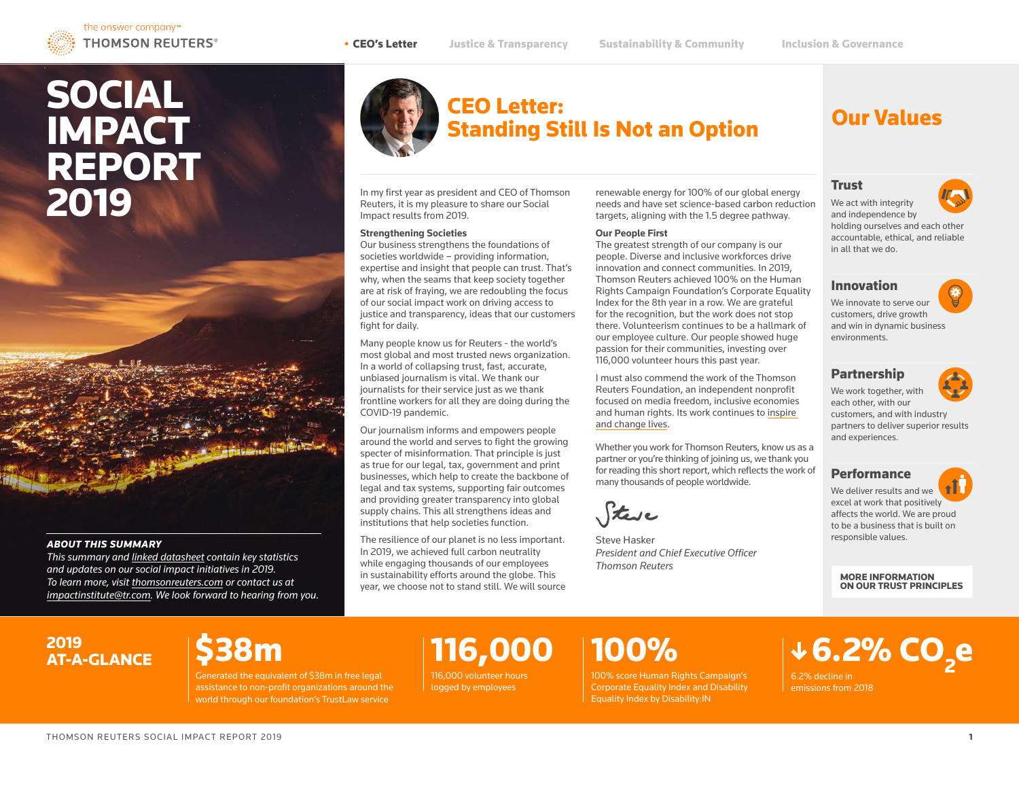# SOCIAL **IMPACT** REPORT 2019



#### *ABOUT THIS SUMMARY*

*This summary and [linked datasheet](https://www.thomsonreuters.com/content/dam/ewp-m/documents/thomsonreuters/en/pdf/social-impact/social-impact-datasheet-2019.pdf) contain key statistics and updates on our social impact initiatives in 2019. To learn more, visit [thomsonreuters.com](http://thomsonreuters.com) or contact us at [impactinstitute@tr.com](mailto:impactinstitute%40tr.com?subject=About%20the%20Social%20Impact%20Report%202019). We look forward to hearing from you.*



### CEO Letter: Standing Still Is Not an Option

In my first year as president and CEO of Thomson Reuters, it is my pleasure to share our Social Impact results from 2019.

#### **Strengthening Societies**

Our business strengthens the foundations of societies worldwide – providing information, expertise and insight that people can trust. That's why, when the seams that keep society together are at risk of fraying, we are redoubling the focus of our social impact work on driving access to justice and transparency, ideas that our customers fight for daily.

Many people know us for Reuters - the world's most global and most trusted news organization. In a world of collapsing trust, fast, accurate, unbiased journalism is vital. We thank our journalists for their service just as we thank frontline workers for all they are doing during the COVID-19 pandemic.

Our journalism informs and empowers people around the world and serves to fight the growing specter of misinformation. That principle is just as true for our legal, tax, government and print businesses, which help to create the backbone of legal and tax systems, supporting fair outcomes and providing greater transparency into global supply chains. This all strengthens ideas and institutions that help societies function.

The resilience of our planet is no less important. In 2019, we achieved full carbon neutrality while engaging thousands of our employees in sustainability efforts around the globe. This year, we choose not to stand still. We will source renewable energy for 100% of our global energy needs and have set science-based carbon reduction targets, aligning with the 1.5 degree pathway.

#### **Our People First**

The greatest strength of our company is our people. Diverse and inclusive workforces drive innovation and connect communities. In 2019, Thomson Reuters achieved 100% on the Human Rights Campaign Foundation's Corporate Equality Index for the 8th year in a row. We are grateful for the recognition, but the work does not stop there. Volunteerism continues to be a hallmark of our employee culture. Our people showed huge passion for their communities, investing over 116,000 volunteer hours this past year.

I must also commend the work of the Thomson Reuters Foundation, an independent nonprofit focused on media freedom, inclusive economies and human rights. Its work continues to [inspire](https://www.trust.org/documents/trf-2020.pdf)  [and change lives.](https://www.trust.org/documents/trf-2020.pdf)

Whether you work for Thomson Reuters, know us as a partner or you're thinking of joining us, we thank you for reading this short report, which reflects the work of many thousands of people worldwide.



Steve Hasker *President and Chief Executive Officer Thomson Reuters*

## Our Values

### **Trust**

We act with integrity and independence by holding ourselves and each other accountable, ethical, and reliable in all that we do.

### Innovation

We innovate to serve our customers, drive growth and win in dynamic business environments.

#### Partnership



We work together, with each other, with our customers, and with industry partners to deliver superior results and experiences.

### **Performance**

We deliver results and we excel at work that positively affects the world. We are proud to be a business that is built on responsible values.

MORE INFORMATION ON OUR TRUST PRINCIPLES

### 2019 AT-A-GLANCE

Generated the equivalent of \$38m in free legal assistance to non-profit organizations around the world through our foundation's TrustLaw service

# 116,000

116,000 volunteer hours logged by employees

# 100%

100% score Human Rights Campaign's Corporate Equality Index and Disability Equality Index by Disability:IN

# $6.2\%$  CO<sub>2</sub>e

6.2% decline in emissions from 2018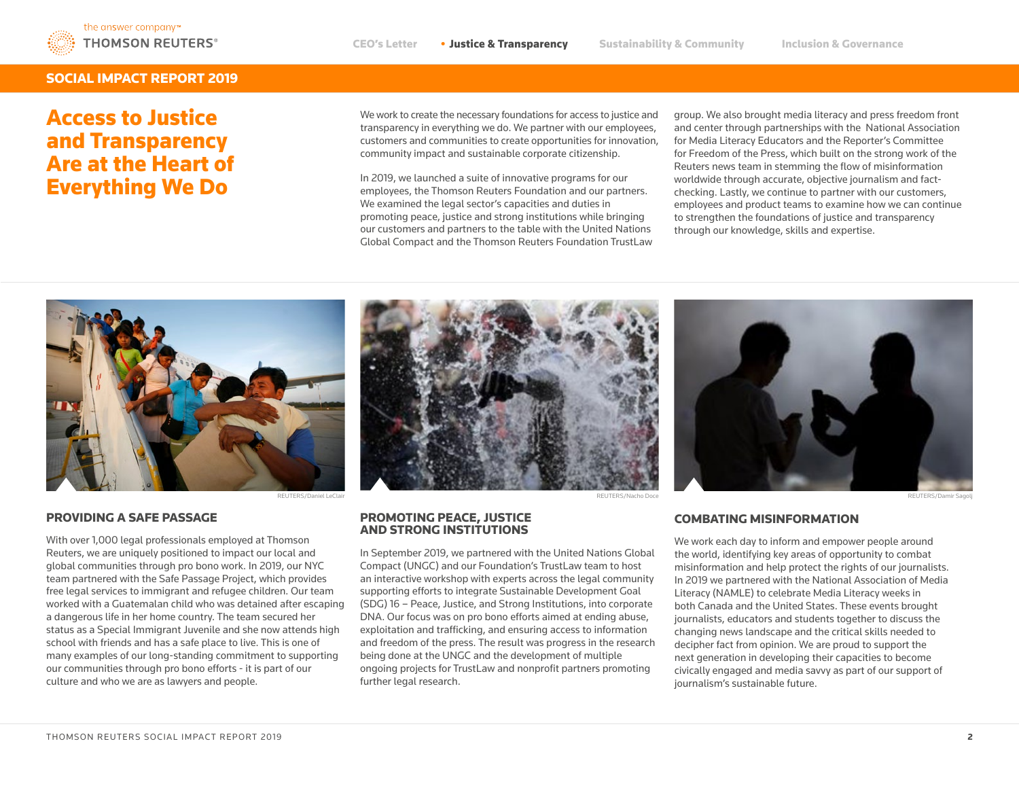

#### SOCIAL IMPACT REPORT 2019

## Access to Justice and Transparency Are at the Heart of Everything We Do

We work to create the necessary foundations for access to justice and transparency in everything we do. We partner with our employees, customers and communities to create opportunities for innovation, community impact and sustainable corporate citizenship.

In 2019, we launched a suite of innovative programs for our employees, the Thomson Reuters Foundation and our partners. We examined the legal sector's capacities and duties in promoting peace, justice and strong institutions while bringing our customers and partners to the table with the United Nations Global Compact and the Thomson Reuters Foundation TrustLaw group. We also brought media literacy and press freedom front and center through partnerships with the National Association for Media Literacy Educators and the Reporter's Committee for Freedom of the Press, which built on the strong work of the Reuters news team in stemming the flow of misinformation worldwide through accurate, objective journalism and factchecking. Lastly, we continue to partner with our customers, employees and product teams to examine how we can continue to strengthen the foundations of justice and transparency through our knowledge, skills and expertise.



With over 1,000 legal professionals employed at Thomson Reuters, we are uniquely positioned to impact our local and global communities through pro bono work. In 2019, our NYC team partnered with the Safe Passage Project, which provides free legal services to immigrant and refugee children. Our team worked with a Guatemalan child who was detained after escaping a dangerous life in her home country. The team secured her status as a Special Immigrant Juvenile and she now attends high school with friends and has a safe place to live. This is one of many examples of our long-standing commitment to supporting our communities through pro bono efforts - it is part of our culture and who we are as lawyers and people.





### AND STRONG INSTITUTIONS

In September 2019, we partnered with the United Nations Global Compact (UNGC) and our Foundation's TrustLaw team to host an interactive workshop with experts across the legal community supporting efforts to integrate Sustainable Development Goal (SDG) 16 – Peace, Justice, and Strong Institutions, into corporate DNA. Our focus was on pro bono efforts aimed at ending abuse, exploitation and trafficking, and ensuring access to information and freedom of the press. The result was progress in the research being done at the UNGC and the development of multiple ongoing projects for TrustLaw and nonprofit partners promoting further legal research.

### PROVIDING A SAFE PASSAGE COMBATING MISINFORMATION PROMOTING PEACE, JUSTICE

We work each day to inform and empower people around the world, identifying key areas of opportunity to combat misinformation and help protect the rights of our journalists. In 2019 we partnered with the National Association of Media Literacy (NAMLE) to celebrate Media Literacy weeks in both Canada and the United States. These events brought journalists, educators and students together to discuss the changing news landscape and the critical skills needed to decipher fact from opinion. We are proud to support the next generation in developing their capacities to become civically engaged and media savvy as part of our support of journalism's sustainable future.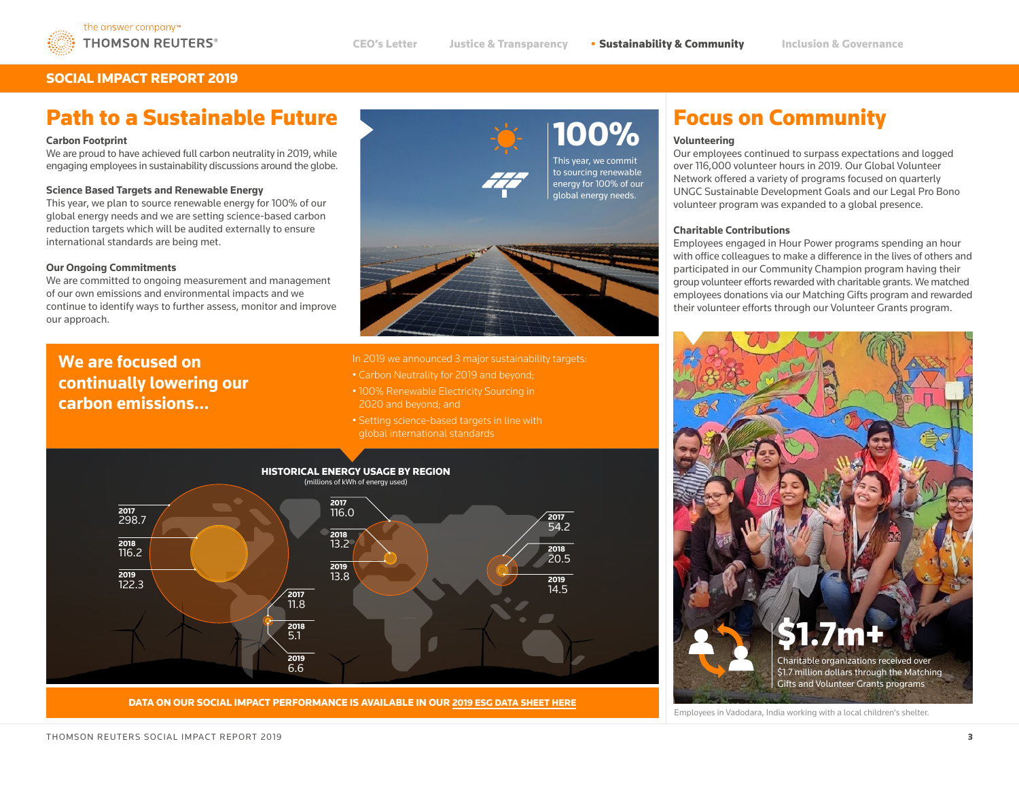

### SOCIAL IMPACT REPORT 2019

## Path to a Sustainable Future

#### **Carbon Footprint**

We are proud to have achieved full carbon neutrality in 2019, while engaging employees in sustainability discussions around the globe.

#### **Science Based Targets and Renewable Energy**

This year, we plan to source renewable energy for 100% of our global energy needs and we are setting science-based carbon reduction targets which will be audited externally to ensure international standards are being met.

#### **Our Ongoing Commitments**

We are committed to ongoing measurement and management of our own emissions and environmental impacts and we continue to identify ways to further assess, monitor and improve our approach.

### **We are focused on continually lowering our carbon emissions…**



#### In 2019 we announced 3 major sustainability targets:

- Carbon Neutrality for 2019 and beyond;
- 100% Renewable Electricity Sourcing in 2020 and beyond; and
- global international standards



DATA ON OUR SOCIAL IMPACT PERFORMANCE IS AVAILABLE IN OUR 2019 ESG DATA SHEET HERE

# **100%** Focus on Community

#### **Volunteering**

Our employees continued to surpass expectations and logged over 116,000 volunteer hours in 2019. Our Global Volunteer Network offered a variety of programs focused on quarterly UNGC Sustainable Development Goals and our Legal Pro Bono volunteer program was expanded to a global presence.

#### **Charitable Contributions**

Employees engaged in Hour Power programs spending an hour with office colleagues to make a difference in the lives of others and participated in our Community Champion program having their group volunteer efforts rewarded with charitable grants. We matched employees donations via our Matching Gifts program and rewarded their volunteer efforts through our Volunteer Grants program.



Employees in Vadodara, India working with a local children's shelter.